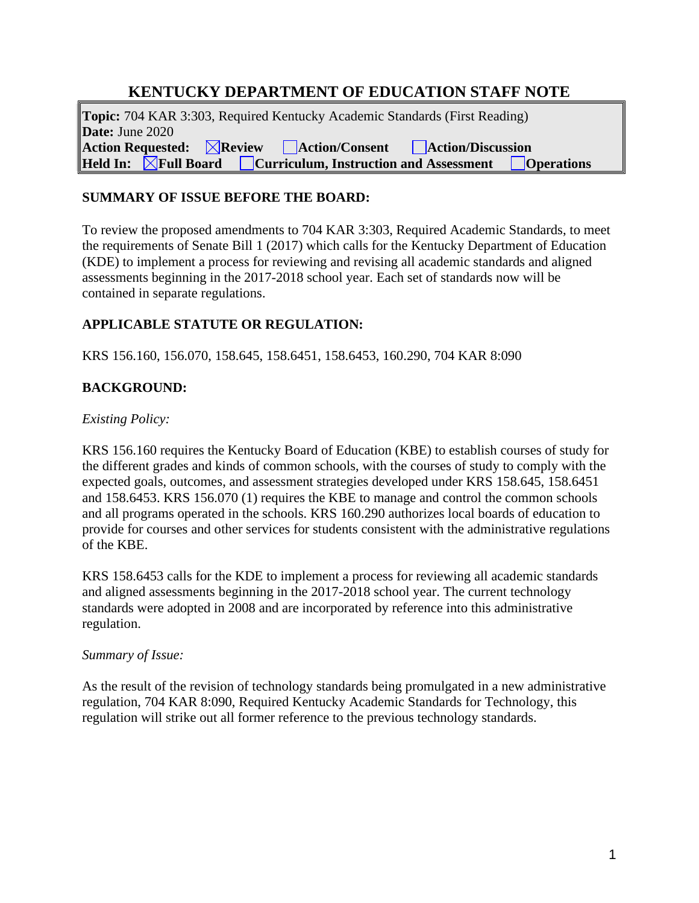# **KENTUCKY DEPARTMENT OF EDUCATION STAFF NOTE**

**Topic:** 704 KAR 3:303, Required Kentucky Academic Standards (First Reading) **Date:** June 2020 Action Requested: *Action Action Action Action Action Action Action Assessment Degree <b>1 <i>Curriculum, Instruction and Assessment Degree <b>1 <i>Degree <b>1 Degree <b>1 Degree <b>1 Degr* **Held Curriculum, Instruction and Assessment Deparations** 

## **SUMMARY OF ISSUE BEFORE THE BOARD:**

To review the proposed amendments to 704 KAR 3:303, Required Academic Standards, to meet the requirements of Senate Bill 1 (2017) which calls for the Kentucky Department of Education (KDE) to implement a process for reviewing and revising all academic standards and aligned assessments beginning in the 2017-2018 school year. Each set of standards now will be contained in separate regulations.

# **APPLICABLE STATUTE OR REGULATION:**

KRS 156.160, 156.070, 158.645, 158.6451, 158.6453, 160.290, 704 KAR 8:090

# **BACKGROUND:**

### *Existing Policy:*

KRS 156.160 requires the Kentucky Board of Education (KBE) to establish courses of study for the different grades and kinds of common schools, with the courses of study to comply with the expected goals, outcomes, and assessment strategies developed under KRS 158.645, 158.6451 and 158.6453. KRS 156.070 (1) requires the KBE to manage and control the common schools and all programs operated in the schools. KRS 160.290 authorizes local boards of education to provide for courses and other services for students consistent with the administrative regulations of the KBE.

KRS 158.6453 calls for the KDE to implement a process for reviewing all academic standards and aligned assessments beginning in the 2017-2018 school year. The current technology standards were adopted in 2008 and are incorporated by reference into this administrative regulation.

#### *Summary of Issue:*

As the result of the revision of technology standards being promulgated in a new administrative regulation, 704 KAR 8:090, Required Kentucky Academic Standards for Technology, this regulation will strike out all former reference to the previous technology standards.